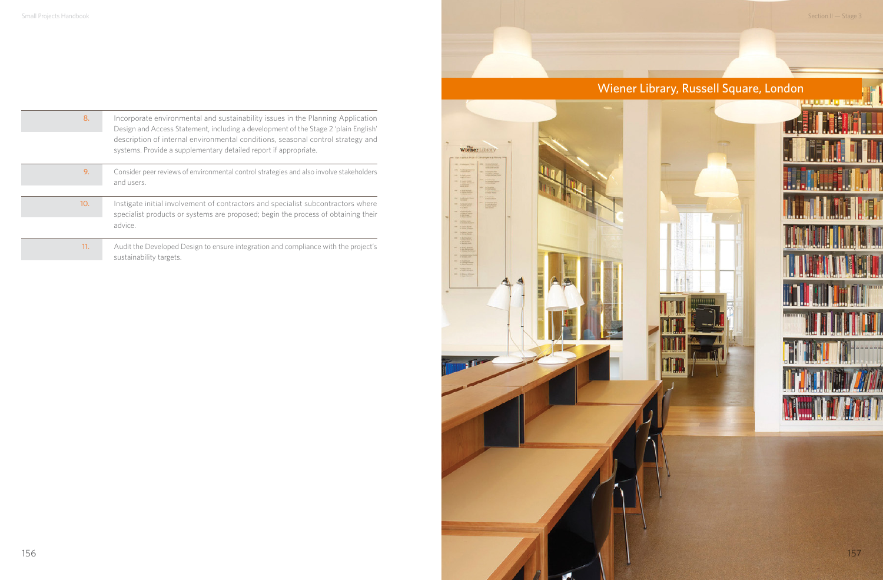## Wiener Library, Russell Square, London



| 8.  | Incorporate environmental and sustainability issues in the Planning Application<br>Design and Access Statement, including a development of the Stage 2 'plain English'<br>description of internal environmental conditions, seasonal control strategy and<br>systems. Provide a supplementary detailed report if appropriate. |
|-----|-------------------------------------------------------------------------------------------------------------------------------------------------------------------------------------------------------------------------------------------------------------------------------------------------------------------------------|
| 9.  | Consider peer reviews of environmental control strategies and also involve stakeholders<br>and users.                                                                                                                                                                                                                         |
| 10. | Instigate initial involvement of contractors and specialist subcontractors where<br>specialist products or systems are proposed; begin the process of obtaining their<br>advice.                                                                                                                                              |
|     |                                                                                                                                                                                                                                                                                                                               |

11. Audit the Developed Design to ensure integration and compliance with the project's sustainability targets.